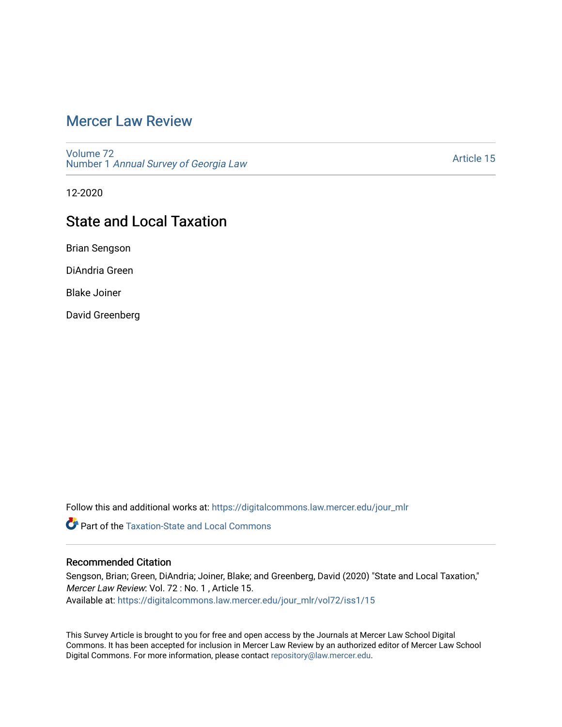# [Mercer Law Review](https://digitalcommons.law.mercer.edu/jour_mlr)

[Volume 72](https://digitalcommons.law.mercer.edu/jour_mlr/vol72) Number 1 [Annual Survey of Georgia Law](https://digitalcommons.law.mercer.edu/jour_mlr/vol72/iss1) 

[Article 15](https://digitalcommons.law.mercer.edu/jour_mlr/vol72/iss1/15) 

12-2020

# State and Local Taxation

Brian Sengson

DiAndria Green

Blake Joiner

David Greenberg

Follow this and additional works at: [https://digitalcommons.law.mercer.edu/jour\\_mlr](https://digitalcommons.law.mercer.edu/jour_mlr?utm_source=digitalcommons.law.mercer.edu%2Fjour_mlr%2Fvol72%2Fiss1%2F15&utm_medium=PDF&utm_campaign=PDFCoverPages)

**C** Part of the Taxation-State and Local Commons

## Recommended Citation

Sengson, Brian; Green, DiAndria; Joiner, Blake; and Greenberg, David (2020) "State and Local Taxation," Mercer Law Review: Vol. 72 : No. 1 , Article 15. Available at: [https://digitalcommons.law.mercer.edu/jour\\_mlr/vol72/iss1/15](https://digitalcommons.law.mercer.edu/jour_mlr/vol72/iss1/15?utm_source=digitalcommons.law.mercer.edu%2Fjour_mlr%2Fvol72%2Fiss1%2F15&utm_medium=PDF&utm_campaign=PDFCoverPages) 

This Survey Article is brought to you for free and open access by the Journals at Mercer Law School Digital Commons. It has been accepted for inclusion in Mercer Law Review by an authorized editor of Mercer Law School Digital Commons. For more information, please contact [repository@law.mercer.edu](mailto:repository@law.mercer.edu).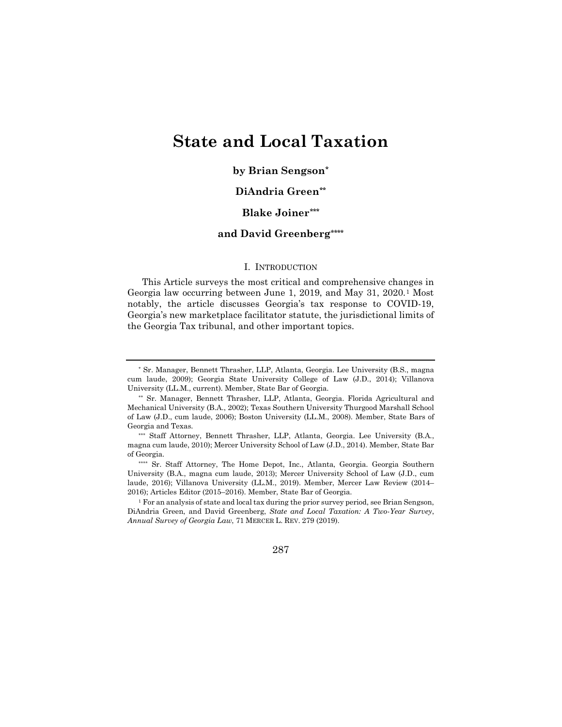# **State and Local Taxation**

## **by Brian Sengson[\\*](#page-1-0)**

## **DiAndria Green[\\*\\*](#page-1-1)**

## **Blake Joiner[\\*\\*\\*](#page-1-2)**

## **and David Greenberg[\\*\\*\\*\\*](#page-1-3)**

#### I. INTRODUCTION

This Article surveys the most critical and comprehensive changes in Georgia law occurring between June 1, 2019, and May 31, 2020.[1](#page-1-4) Most notably, the article discusses Georgia's tax response to COVID-19, Georgia's new marketplace facilitator statute, the jurisdictional limits of the Georgia Tax tribunal, and other important topics.

<span id="page-1-4"></span><sup>1</sup> For an analysis of state and local tax during the prior survey period, see Brian Sengson, DiAndria Green, and David Greenberg, *State and Local Taxation: A Two-Year Survey*, *Annual Survey of Georgia Law*, 71 MERCER L. REV. 279 (2019).

287

<span id="page-1-0"></span><sup>\*</sup> Sr. Manager, Bennett Thrasher, LLP, Atlanta, Georgia. Lee University (B.S., magna cum laude, 2009); Georgia State University College of Law (J.D., 2014); Villanova University (LL.M., current). Member, State Bar of Georgia.

<span id="page-1-1"></span><sup>\*\*</sup> Sr. Manager, Bennett Thrasher, LLP, Atlanta, Georgia. Florida Agricultural and Mechanical University (B.A., 2002); Texas Southern University Thurgood Marshall School of Law (J.D., cum laude, 2006); Boston University (LL.M., 2008). Member, State Bars of Georgia and Texas.

<span id="page-1-2"></span><sup>\*\*\*</sup> Staff Attorney, Bennett Thrasher, LLP, Atlanta, Georgia. Lee University (B.A., magna cum laude, 2010); Mercer University School of Law (J.D., 2014). Member, State Bar of Georgia.

<span id="page-1-3"></span><sup>\*\*\*\*</sup> Sr. Staff Attorney, The Home Depot, Inc., Atlanta, Georgia. Georgia Southern University (B.A., magna cum laude, 2013); Mercer University School of Law (J.D., cum laude, 2016); Villanova University (LL.M., 2019). Member, Mercer Law Review (2014– 2016); Articles Editor (2015–2016). Member, State Bar of Georgia.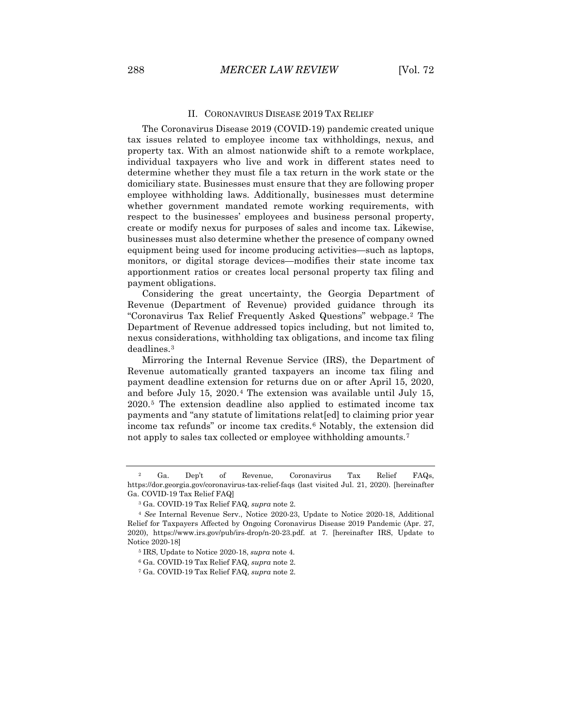#### II. CORONAVIRUS DISEASE 2019 TAX RELIEF

The Coronavirus Disease 2019 (COVID-19) pandemic created unique tax issues related to employee income tax withholdings, nexus, and property tax. With an almost nationwide shift to a remote workplace, individual taxpayers who live and work in different states need to determine whether they must file a tax return in the work state or the domiciliary state. Businesses must ensure that they are following proper employee withholding laws. Additionally, businesses must determine whether government mandated remote working requirements, with respect to the businesses' employees and business personal property, create or modify nexus for purposes of sales and income tax. Likewise, businesses must also determine whether the presence of company owned equipment being used for income producing activities—such as laptops, monitors, or digital storage devices—modifies their state income tax apportionment ratios or creates local personal property tax filing and payment obligations.

Considering the great uncertainty, the Georgia Department of Revenue (Department of Revenue) provided guidance through its "Coronavirus Tax Relief Frequently Asked Questions" webpage.[2](#page-2-0) The Department of Revenue addressed topics including, but not limited to, nexus considerations, withholding tax obligations, and income tax filing deadlines.[3](#page-2-1)

Mirroring the Internal Revenue Service (IRS), the Department of Revenue automatically granted taxpayers an income tax filing and payment deadline extension for returns due on or after April 15, 2020, and before July 15, 2020.[4](#page-2-2) The extension was available until July 15, 2020.[5](#page-2-3) The extension deadline also applied to estimated income tax payments and "any statute of limitations relat[ed] to claiming prior year income tax refunds" or income tax credits.[6](#page-2-4) Notably, the extension did not apply to sales tax collected or employee withholding amounts.[7](#page-2-5)

<span id="page-2-0"></span><sup>2</sup> Ga. Dep't of Revenue, Coronavirus Tax Relief FAQs, https://dor.georgia.gov/coronavirus-tax-relief-faqs (last visited Jul. 21, 2020). [hereinafter Ga. COVID-19 Tax Relief FAQ]

<sup>3</sup> Ga. COVID-19 Tax Relief FAQ, *supra* note 2.

<span id="page-2-4"></span><span id="page-2-3"></span><span id="page-2-2"></span><span id="page-2-1"></span><sup>4</sup> *See* Internal Revenue Serv., Notice 2020-23, Update to Notice 2020-18, Additional Relief for Taxpayers Affected by Ongoing Coronavirus Disease 2019 Pandemic (Apr. 27, 2020), https://www.irs.gov/pub/irs-drop/n-20-23.pdf. at 7. [hereinafter IRS, Update to Notice 2020-18]

<sup>5</sup> IRS, Update to Notice 2020-18, *supra* note 4.

<sup>6</sup> Ga. COVID-19 Tax Relief FAQ, *supra* note 2.

<span id="page-2-5"></span><sup>7</sup> Ga. COVID-19 Tax Relief FAQ, *supra* note 2.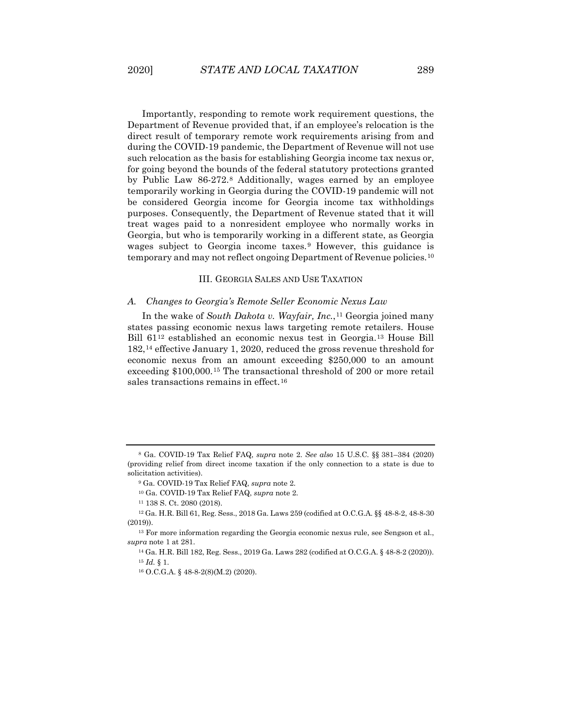Importantly, responding to remote work requirement questions, the Department of Revenue provided that, if an employee's relocation is the direct result of temporary remote work requirements arising from and during the COVID-19 pandemic, the Department of Revenue will not use such relocation as the basis for establishing Georgia income tax nexus or, for going beyond the bounds of the federal statutory protections granted by Public Law 86-272.[8](#page-3-0) Additionally, wages earned by an employee temporarily working in Georgia during the COVID-19 pandemic will not be considered Georgia income for Georgia income tax withholdings purposes. Consequently, the Department of Revenue stated that it will treat wages paid to a nonresident employee who normally works in Georgia, but who is temporarily working in a different state, as Georgia wages subject to Georgia income taxes.<sup>[9](#page-3-1)</sup> However, this guidance is

#### III. GEORGIA SALES AND USE TAXATION

temporary and may not reflect ongoing Department of Revenue policies.<sup>[10](#page-3-2)</sup>

#### *A. Changes to Georgia's Remote Seller Economic Nexus Law*

In the wake of *South Dakota v. Wayfair, Inc.*,<sup>[11](#page-3-3)</sup> Georgia joined many states passing economic nexus laws targeting remote retailers. House Bill 61[12](#page-3-4) established an economic nexus test in Georgia.[13](#page-3-5) House Bill 182,[14](#page-3-6) effective January 1, 2020, reduced the gross revenue threshold for economic nexus from an amount exceeding \$250,000 to an amount exceeding \$100,000.[15](#page-3-7) The transactional threshold of 200 or more retail sales transactions remains in effect.<sup>[16](#page-3-8)</sup>

<span id="page-3-1"></span><span id="page-3-0"></span><sup>8</sup> Ga. COVID-19 Tax Relief FAQ, *supra* note 2. *See also* 15 U.S.C. §§ 381–384 (2020) (providing relief from direct income taxation if the only connection to a state is due to solicitation activities).

<sup>9</sup> Ga. COVID-19 Tax Relief FAQ, *supra* note 2.

<sup>10</sup> Ga. COVID-19 Tax Relief FAQ, *supra* note 2.

<sup>11</sup> 138 S. Ct. 2080 (2018).

<span id="page-3-4"></span><span id="page-3-3"></span><span id="page-3-2"></span><sup>12</sup> Ga. H.R. Bill 61, Reg. Sess., 2018 Ga. Laws 259 (codified at O.C.G.A. §§ 48-8-2, 48-8-30 (2019)).

<span id="page-3-8"></span><span id="page-3-7"></span><span id="page-3-6"></span><span id="page-3-5"></span><sup>13</sup> For more information regarding the Georgia economic nexus rule, see Sengson et al., *supra* note 1 at 281.

<sup>14</sup> Ga. H.R. Bill 182, Reg. Sess., 2019 Ga. Laws 282 (codified at O.C.G.A. § 48-8-2 (2020)). <sup>15</sup> *Id.* § 1.

<sup>16</sup> O.C.G.A. § 48-8-2(8)(M.2) (2020).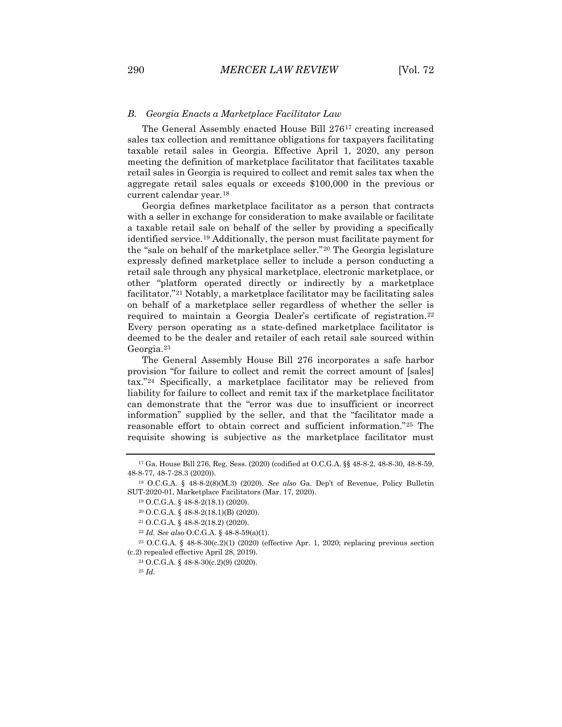#### *B. Georgia Enacts a Marketplace Facilitator Law*

The General Assembly enacted House Bill 276[17](#page-4-0) creating increased sales tax collection and remittance obligations for taxpayers facilitating taxable retail sales in Georgia. Effective April 1, 2020, any person meeting the definition of marketplace facilitator that facilitates taxable retail sales in Georgia is required to collect and remit sales tax when the aggregate retail sales equals or exceeds \$100,000 in the previous or current calendar year.[18](#page-4-1)

Georgia defines marketplace facilitator as a person that contracts with a seller in exchange for consideration to make available or facilitate a taxable retail sale on behalf of the seller by providing a specifically identified service.[19](#page-4-2) Additionally, the person must facilitate payment for the "sale on behalf of the marketplace seller."[20](#page-4-3) The Georgia legislature expressly defined marketplace seller to include a person conducting a retail sale through any physical marketplace, electronic marketplace, or other "platform operated directly or indirectly by a marketplace facilitator."[21](#page-4-4) Notably, a marketplace facilitator may be facilitating sales on behalf of a marketplace seller regardless of whether the seller is required to maintain a Georgia Dealer's certificate of registration.[22](#page-4-5) Every person operating as a state-defined marketplace facilitator is deemed to be the dealer and retailer of each retail sale sourced within Georgia.[23](#page-4-6)

The General Assembly House Bill 276 incorporates a safe harbor provision "for failure to collect and remit the correct amount of [sales] tax."[24](#page-4-7) Specifically, a marketplace facilitator may be relieved from liability for failure to collect and remit tax if the marketplace facilitator can demonstrate that the "error was due to insufficient or incorrect information" supplied by the seller, and that the "facilitator made a reasonable effort to obtain correct and sufficient information."[25](#page-4-8) The requisite showing is subjective as the marketplace facilitator must

<span id="page-4-0"></span><sup>17</sup> Ga. House Bill 276, Reg. Sess. (2020) (codified at O.C.G.A. §§ 48-8-2, 48-8-30, 48-8-59, 48-8-77, 48-7-28.3 (2020)).

<span id="page-4-3"></span><span id="page-4-2"></span><span id="page-4-1"></span><sup>18</sup> O.C.G.A. § 48-8-2(8)(M.3) (2020). *See also* Ga. Dep't of Revenue, Policy Bulletin SUT-2020-01, Marketplace Facilitators (Mar. 17, 2020).

<sup>19</sup> O.C.G.A. § 48-8-2(18.1) (2020).

<sup>20</sup> O.C.G.A. § 48-8-2(18.1)(B) (2020).

<sup>21</sup> O.C.G.A. § 48-8-2(18.2) (2020).

<sup>22</sup> *Id. See also* O.C.G.A. § 48-8-59(a)(1).

<span id="page-4-8"></span><span id="page-4-7"></span><span id="page-4-6"></span><span id="page-4-5"></span><span id="page-4-4"></span><sup>&</sup>lt;sup>23</sup> O.C.G.A. § 48-8-30(c.2)(1) (2020) (effective Apr. 1, 2020; replacing previous section (c.2) repealed effective April 28, 2019).

<sup>24</sup> O.C.G.A. § 48-8-30(c.2)(9) (2020).

<sup>25</sup> *Id.*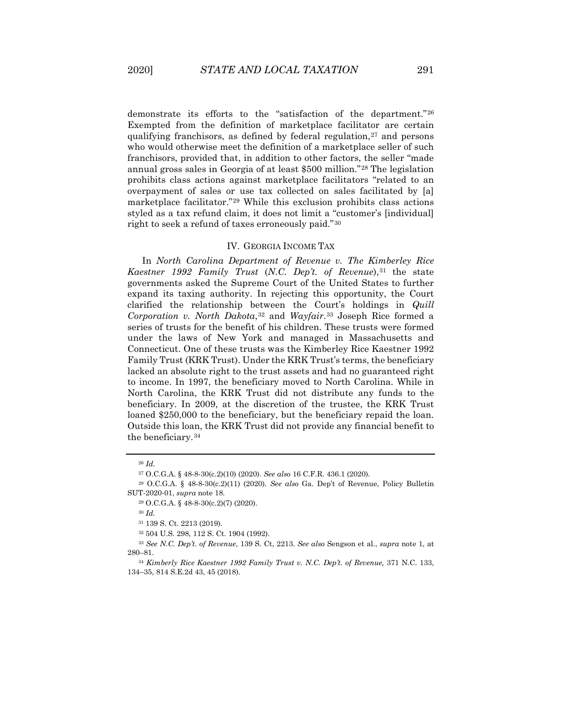demonstrate its efforts to the "satisfaction of the department."[26](#page-5-0) Exempted from the definition of marketplace facilitator are certain qualifying franchisors, as defined by federal regulation,<sup>[27](#page-5-1)</sup> and persons who would otherwise meet the definition of a marketplace seller of such franchisors, provided that, in addition to other factors, the seller "made annual gross sales in Georgia of at least \$500 million."[28](#page-5-2) The legislation prohibits class actions against marketplace facilitators "related to an overpayment of sales or use tax collected on sales facilitated by [a] marketplace facilitator."[29](#page-5-3) While this exclusion prohibits class actions styled as a tax refund claim, it does not limit a "customer's [individual] right to seek a refund of taxes erroneously paid."[30](#page-5-4)

#### IV. GEORGIA INCOME TAX

In *North Carolina Department of Revenue v. The Kimberley Rice*  Kaestner 1992 Family Trust (N.C. Dep't. of Revenue),<sup>[31](#page-5-5)</sup> the state governments asked the Supreme Court of the United States to further expand its taxing authority. In rejecting this opportunity, the Court clarified the relationship between the Court's holdings in *Quill Corporation v. North Dakota*,<sup>[32](#page-5-6)</sup> and *Wayfair*.<sup>[33](#page-5-7)</sup> Joseph Rice formed a series of trusts for the benefit of his children. These trusts were formed under the laws of New York and managed in Massachusetts and Connecticut. One of these trusts was the Kimberley Rice Kaestner 1992 Family Trust (KRK Trust). Under the KRK Trust's terms, the beneficiary lacked an absolute right to the trust assets and had no guaranteed right to income. In 1997, the beneficiary moved to North Carolina. While in North Carolina, the KRK Trust did not distribute any funds to the beneficiary. In 2009, at the discretion of the trustee, the KRK Trust loaned \$250,000 to the beneficiary, but the beneficiary repaid the loan. Outside this loan, the KRK Trust did not provide any financial benefit to the beneficiary.[34](#page-5-8)

<sup>26</sup> *Id.*

<sup>27</sup> O.C.G.A. § 48-8-30(c.2)(10) (2020). *See also* 16 C.F.R. 436.1 (2020).

<span id="page-5-4"></span><span id="page-5-3"></span><span id="page-5-2"></span><span id="page-5-1"></span><span id="page-5-0"></span><sup>28</sup> O.C.G.A. § 48-8-30(c.2)(11) (2020). *See also* Ga. Dep't of Revenue, Policy Bulletin SUT-2020-01, *supra* note 18.

<sup>29</sup> O.C.G.A. § 48-8-30(c.2)(7) (2020).

<sup>30</sup> *Id.*

<sup>31</sup> 139 S. Ct. 2213 (2019).

<sup>32</sup> 504 U.S. 298, 112 S. Ct. 1904 (1992).

<span id="page-5-7"></span><span id="page-5-6"></span><span id="page-5-5"></span><sup>33</sup> *See N.C. Dep't. of Revenue*, 139 S. Ct, 2213. *See also* Sengson et al., *supra* note 1, at 280–81.

<span id="page-5-8"></span><sup>34</sup> *Kimberly Rice Kaestner 1992 Family Trust v. N.C. Dep't. of Revenue,* 371 N.C. 133, 134–35, 814 S.E.2d 43, 45 (2018).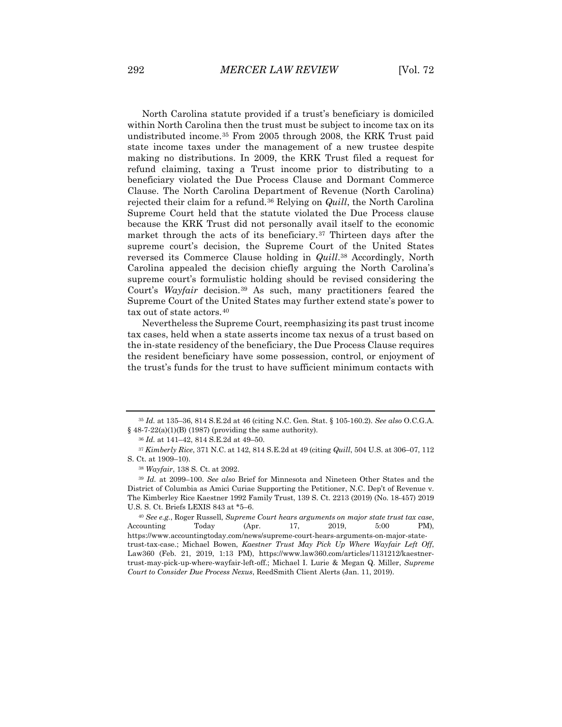North Carolina statute provided if a trust's beneficiary is domiciled within North Carolina then the trust must be subject to income tax on its undistributed income.[35](#page-6-0) From 2005 through 2008, the KRK Trust paid state income taxes under the management of a new trustee despite making no distributions. In 2009, the KRK Trust filed a request for refund claiming, taxing a Trust income prior to distributing to a beneficiary violated the Due Process Clause and Dormant Commerce Clause. The North Carolina Department of Revenue (North Carolina) rejected their claim for a refund.[36](#page-6-1) Relying on *Quill*, the North Carolina Supreme Court held that the statute violated the Due Process clause because the KRK Trust did not personally avail itself to the economic market through the acts of its beneficiary.[37](#page-6-2) Thirteen days after the supreme court's decision, the Supreme Court of the United States reversed its Commerce Clause holding in *Quill*.[38](#page-6-3) Accordingly, North Carolina appealed the decision chiefly arguing the North Carolina's supreme court's formulistic holding should be revised considering the Court's *Wayfair* decision.[39](#page-6-4) As such, many practitioners feared the Supreme Court of the United States may further extend state's power to tax out of state actors.<sup>[40](#page-6-5)</sup>

Nevertheless the Supreme Court, reemphasizing its past trust income tax cases, held when a state asserts income tax nexus of a trust based on the in-state residency of the beneficiary, the Due Process Clause requires the resident beneficiary have some possession, control, or enjoyment of the trust's funds for the trust to have sufficient minimum contacts with

<span id="page-6-0"></span><sup>35</sup> *Id.* at 135–36, 814 S.E.2d at 46 (citing N.C. Gen. Stat. § 105-160.2). *See also* O.C.G.A.  $§$  48-7-22(a)(1)(B) (1987) (providing the same authority).

<sup>36</sup> *Id.* at 141–42, 814 S.E.2d at 49–50.

<span id="page-6-2"></span><span id="page-6-1"></span><sup>37</sup> *Kimberly Rice*, 371 N.C. at 142, 814 S.E.2d at 49 (citing *Quill*, 504 U.S. at 306–07, 112 S. Ct. at 1909–10).

<sup>38</sup> *Wayfair*, 138 S. Ct. at 2092.

<span id="page-6-4"></span><span id="page-6-3"></span><sup>39</sup> *Id.* at 2099–100. *See also* Brief for Minnesota and Nineteen Other States and the District of Columbia as Amici Curiae Supporting the Petitioner, N.C. Dep't of Revenue v. The Kimberley Rice Kaestner 1992 Family Trust, 139 S. Ct. 2213 (2019) (No. 18-457) 2019 U.S. S. Ct. Briefs LEXIS 843 at \*5–6.

<span id="page-6-5"></span><sup>40</sup> *See e.g.*, Roger Russell, *Supreme Court hears arguments on major state trust tax case*, Accounting Today (Apr. 17, 2019, 5:00 PM), https://www.accountingtoday.com/news/supreme-court-hears-arguments-on-major-statetrust-tax-case.; Michael Bowen, *Kaestner Trust May Pick Up Where Wayfair Left Off*, Law360 (Feb. 21, 2019, 1:13 PM), https://www.law360.com/articles/1131212/kaestnertrust-may-pick-up-where-wayfair-left-off.; Michael I. Lurie & Megan Q. Miller, *Supreme Court to Consider Due Process Nexus*, ReedSmith Client Alerts (Jan. 11, 2019).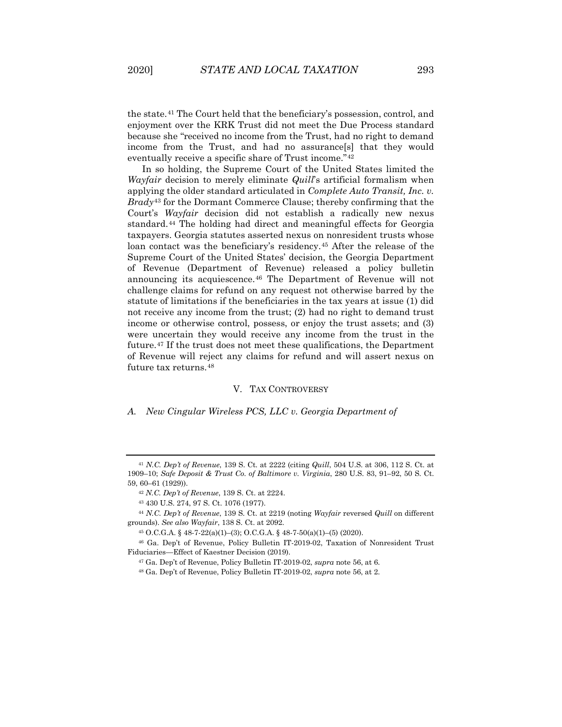the state.[41](#page-7-0) The Court held that the beneficiary's possession, control, and enjoyment over the KRK Trust did not meet the Due Process standard because she "received no income from the Trust, had no right to demand income from the Trust, and had no assurance[s] that they would eventually receive a specific share of Trust income."[42](#page-7-1)

In so holding, the Supreme Court of the United States limited the *Wayfair* decision to merely eliminate *Quill*'s artificial formalism when applying the older standard articulated in *Complete Auto Transit, Inc. v. Brady*[43](#page-7-2) for the Dormant Commerce Clause; thereby confirming that the Court's *Wayfair* decision did not establish a radically new nexus standard.[44](#page-7-3) The holding had direct and meaningful effects for Georgia taxpayers. Georgia statutes asserted nexus on nonresident trusts whose loan contact was the beneficiary's residency.<sup>[45](#page-7-4)</sup> After the release of the Supreme Court of the United States' decision, the Georgia Department of Revenue (Department of Revenue) released a policy bulletin announcing its acquiescence.[46](#page-7-5) The Department of Revenue will not challenge claims for refund on any request not otherwise barred by the statute of limitations if the beneficiaries in the tax years at issue (1) did not receive any income from the trust; (2) had no right to demand trust income or otherwise control, possess, or enjoy the trust assets; and (3) were uncertain they would receive any income from the trust in the future.[47](#page-7-6) If the trust does not meet these qualifications, the Department of Revenue will reject any claims for refund and will assert nexus on future tax returns.[48](#page-7-7)

#### V. TAX CONTROVERSY

#### *A. New Cingular Wireless PCS, LLC v. Georgia Department of*

<span id="page-7-3"></span><span id="page-7-2"></span><span id="page-7-1"></span><sup>44</sup> *N.C. Dep't of Revenue*, 139 S. Ct. at 2219 (noting *Wayfair* reversed *Quill* on different grounds). *See also Wayfair*, 138 S. Ct. at 2092.

<span id="page-7-0"></span><sup>41</sup> *N.C. Dep't of Revenue*, 139 S. Ct. at 2222 (citing *Quill*, 504 U.S. at 306, 112 S. Ct. at 1909–10; *Safe Deposit & Trust Co. of Baltimore v. Virginia*, 280 U.S. 83, 91–92, 50 S. Ct. 59, 60–61 (1929)).

<sup>42</sup> *N.C. Dep't of Revenue*, 139 S. Ct. at 2224.

<sup>43</sup> 430 U.S. 274, 97 S. Ct. 1076 (1977).

<sup>45</sup> O.C.G.A. § 48-7-22(a)(1)–(3); O.C.G.A. § 48-7-50(a)(1)–(5) (2020).

<span id="page-7-7"></span><span id="page-7-6"></span><span id="page-7-5"></span><span id="page-7-4"></span><sup>46</sup> Ga. Dep't of Revenue, Policy Bulletin IT-2019-02, Taxation of Nonresident Trust Fiduciaries—Effect of Kaestner Decision (2019).

<sup>47</sup> Ga. Dep't of Revenue, Policy Bulletin IT-2019-02, *supra* note 56, at 6.

<sup>48</sup> Ga. Dep't of Revenue, Policy Bulletin IT-2019-02, *supra* note 56, at 2.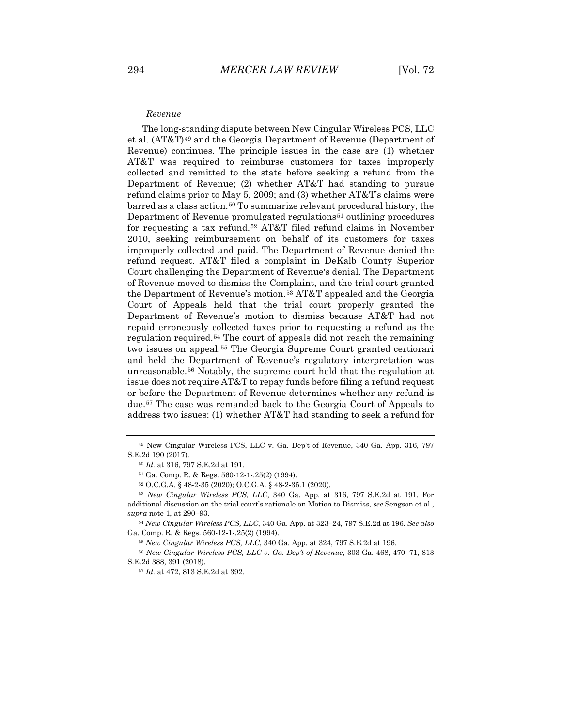#### *Revenue*

The long-standing dispute between New Cingular Wireless PCS, LLC et al. (AT&T)[49](#page-8-0) and the Georgia Department of Revenue (Department of Revenue) continues. The principle issues in the case are (1) whether AT&T was required to reimburse customers for taxes improperly collected and remitted to the state before seeking a refund from the Department of Revenue; (2) whether AT&T had standing to pursue refund claims prior to May 5, 2009; and (3) whether AT&T's claims were barred as a class action.<sup>[50](#page-8-1)</sup> To summarize relevant procedural history, the Department of Revenue promulgated regulations<sup>[51](#page-8-2)</sup> outlining procedures for requesting a tax refund.[52](#page-8-3) AT&T filed refund claims in November 2010, seeking reimbursement on behalf of its customers for taxes improperly collected and paid. The Department of Revenue denied the refund request. AT&T filed a complaint in DeKalb County Superior Court challenging the Department of Revenue's denial. The Department of Revenue moved to dismiss the Complaint, and the trial court granted the Department of Revenue's motion.[53](#page-8-4) AT&T appealed and the Georgia Court of Appeals held that the trial court properly granted the Department of Revenue's motion to dismiss because AT&T had not repaid erroneously collected taxes prior to requesting a refund as the regulation required.[54](#page-8-5) The court of appeals did not reach the remaining two issues on appeal.[55](#page-8-6) The Georgia Supreme Court granted certiorari and held the Department of Revenue's regulatory interpretation was unreasonable.[56](#page-8-7) Notably, the supreme court held that the regulation at issue does not require AT&T to repay funds before filing a refund request or before the Department of Revenue determines whether any refund is due.[57](#page-8-8) The case was remanded back to the Georgia Court of Appeals to address two issues: (1) whether AT&T had standing to seek a refund for

<span id="page-8-1"></span><span id="page-8-0"></span><sup>49</sup> New Cingular Wireless PCS, LLC v. Ga. Dep't of Revenue, 340 Ga. App. 316, 797 S.E.2d 190 (2017).

<sup>50</sup> *Id.* at 316, 797 S.E.2d at 191.

<sup>51</sup> Ga. Comp. R. & Regs. 560-12-1-.25(2) (1994).

<sup>52</sup> O.C.G.A. § 48-2-35 (2020); O.C.G.A. § 48-2-35.1 (2020).

<span id="page-8-4"></span><span id="page-8-3"></span><span id="page-8-2"></span><sup>53</sup> *New Cingular Wireless PCS, LLC*, 340 Ga. App. at 316, 797 S.E.2d at 191. For additional discussion on the trial court's rationale on Motion to Dismiss, *see* Sengson et al., *supra* note 1, at 290–93.

<span id="page-8-5"></span><sup>54</sup> *New Cingular Wireless PCS, LLC*, 340 Ga. App. at 323–24, 797 S.E.2d at 196. *See also*  Ga. Comp. R. & Regs. 560-12-1-.25(2) (1994).

<sup>55</sup> *New Cingular Wireless PCS, LLC*, 340 Ga. App. at 324, 797 S.E.2d at 196.

<span id="page-8-8"></span><span id="page-8-7"></span><span id="page-8-6"></span><sup>56</sup> *New Cingular Wireless PCS, LLC v. Ga. Dep't of Revenue*, 303 Ga. 468, 470–71, 813 S.E.2d 388, 391 (2018).

<sup>57</sup> *Id.* at 472, 813 S.E.2d at 392.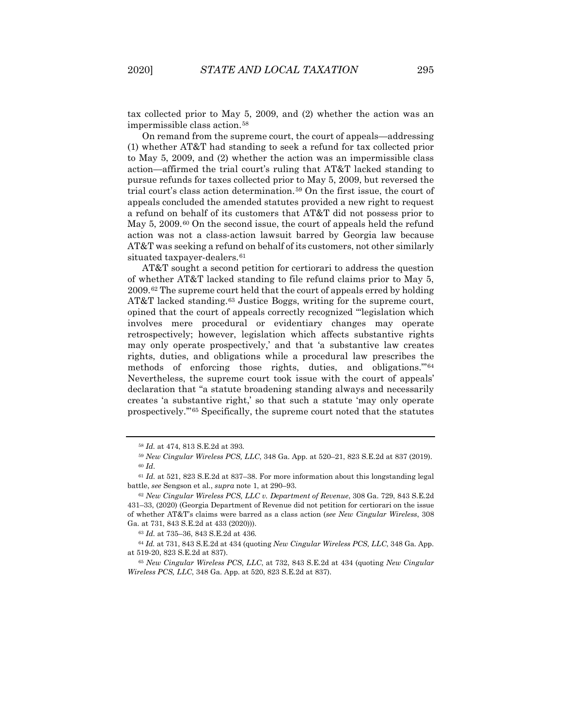tax collected prior to May 5, 2009, and (2) whether the action was an impermissible class action.[58](#page-9-0)

On remand from the supreme court, the court of appeals—addressing (1) whether AT&T had standing to seek a refund for tax collected prior to May 5, 2009, and (2) whether the action was an impermissible class action—affirmed the trial court's ruling that AT&T lacked standing to pursue refunds for taxes collected prior to May 5, 2009, but reversed the trial court's class action determination.[59](#page-9-1) On the first issue, the court of appeals concluded the amended statutes provided a new right to request a refund on behalf of its customers that AT&T did not possess prior to May 5, 2009.<sup>[60](#page-9-2)</sup> On the second issue, the court of appeals held the refund action was not a class-action lawsuit barred by Georgia law because AT&T was seeking a refund on behalf of its customers, not other similarly situated taxpayer-dealers.<sup>[61](#page-9-3)</sup>

AT&T sought a second petition for certiorari to address the question of whether AT&T lacked standing to file refund claims prior to May 5, 2009.[62](#page-9-4) The supreme court held that the court of appeals erred by holding AT&T lacked standing.<sup>[63](#page-9-5)</sup> Justice Boggs, writing for the supreme court, opined that the court of appeals correctly recognized "'legislation which involves mere procedural or evidentiary changes may operate retrospectively; however, legislation which affects substantive rights may only operate prospectively,' and that 'a substantive law creates rights, duties, and obligations while a procedural law prescribes the methods of enforcing those rights, duties, and obligations."<sup>[64](#page-9-6)</sup> Nevertheless, the supreme court took issue with the court of appeals' declaration that "a statute broadening standing always and necessarily creates 'a substantive right,' so that such a statute 'may only operate prospectively.'"[65](#page-9-7) Specifically, the supreme court noted that the statutes

<sup>58</sup> *Id.* at 474, 813 S.E.2d at 393.

<sup>59</sup> *New Cingular Wireless PCS, LLC*, 348 Ga. App. at 520–21, 823 S.E.2d at 837 (2019). <sup>60</sup> *Id*.

<span id="page-9-3"></span><span id="page-9-2"></span><span id="page-9-1"></span><span id="page-9-0"></span><sup>61</sup> *Id.* at 521, 823 S.E.2d at 837–38. For more information about this longstanding legal battle, *see* Sengson et al., *supra* note 1, at 290–93.

<span id="page-9-4"></span><sup>62</sup> *New Cingular Wireless PCS, LLC v. Department of Revenue*, 308 Ga. 729, 843 S.E.2d 431–33, (2020) (Georgia Department of Revenue did not petition for certiorari on the issue of whether AT&T's claims were barred as a class action (*see New Cingular Wireless*, 308 Ga. at 731, 843 S.E.2d at 433 (2020))).

<sup>63</sup> *Id.* at 735–36, 843 S.E.2d at 436.

<span id="page-9-6"></span><span id="page-9-5"></span><sup>64</sup> *Id.* at 731, 843 S.E.2d at 434 (quoting *New Cingular Wireless PCS, LLC*, 348 Ga. App. at 519-20, 823 S.E.2d at 837).

<span id="page-9-7"></span><sup>65</sup> *New Cingular Wireless PCS, LLC*, at 732, 843 S.E.2d at 434 (quoting *New Cingular Wireless PCS, LLC*, 348 Ga. App. at 520, 823 S.E.2d at 837).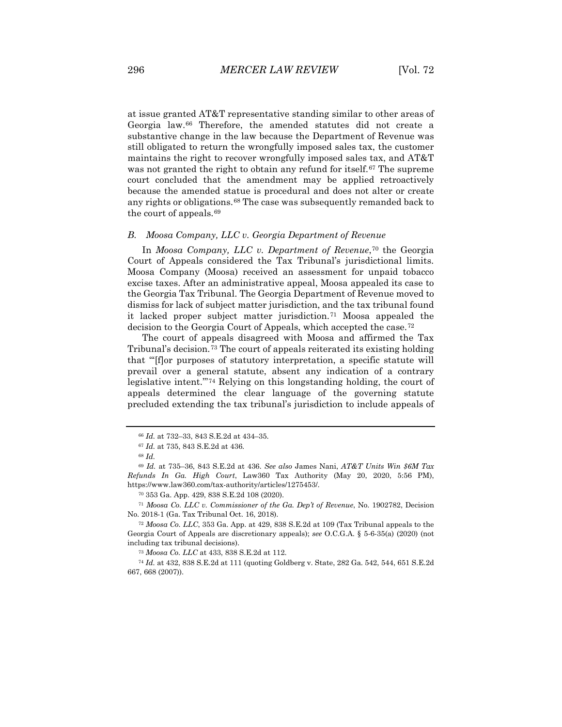at issue granted AT&T representative standing similar to other areas of Georgia law.[66](#page-10-0) Therefore, the amended statutes did not create a substantive change in the law because the Department of Revenue was still obligated to return the wrongfully imposed sales tax, the customer maintains the right to recover wrongfully imposed sales tax, and AT&T was not granted the right to obtain any refund for itself.<sup>[67](#page-10-1)</sup> The supreme court concluded that the amendment may be applied retroactively because the amended statue is procedural and does not alter or create any rights or obligations.<sup>[68](#page-10-2)</sup> The case was subsequently remanded back to the court of appeals.[69](#page-10-3)

#### *B. Moosa Company, LLC v. Georgia Department of Revenue*

In *Moosa Company, LLC v. Department of Revenue*,<sup>[70](#page-10-4)</sup> the Georgia Court of Appeals considered the Tax Tribunal's jurisdictional limits. Moosa Company (Moosa) received an assessment for unpaid tobacco excise taxes. After an administrative appeal, Moosa appealed its case to the Georgia Tax Tribunal. The Georgia Department of Revenue moved to dismiss for lack of subject matter jurisdiction, and the tax tribunal found it lacked proper subject matter jurisdiction.[71](#page-10-5) Moosa appealed the decision to the Georgia Court of Appeals, which accepted the case.[72](#page-10-6)

The court of appeals disagreed with Moosa and affirmed the Tax Tribunal's decision.<sup>[73](#page-10-7)</sup> The court of appeals reiterated its existing holding that "'[f]or purposes of statutory interpretation, a specific statute will prevail over a general statute, absent any indication of a contrary legislative intent.'"[74](#page-10-8) Relying on this longstanding holding, the court of appeals determined the clear language of the governing statute precluded extending the tax tribunal's jurisdiction to include appeals of

<sup>73</sup> *Moosa Co. LLC* at 433, 838 S.E.2d at 112.

<span id="page-10-8"></span><span id="page-10-7"></span><sup>74</sup> *Id.* at 432, 838 S.E.2d at 111 (quoting Goldberg v. State, 282 Ga. 542, 544, 651 S.E.2d 667, 668 (2007)).

<sup>66</sup> *Id.* at 732–33, 843 S.E.2d at 434–35.

<sup>67</sup> *Id.* at 735, 843 S.E.2d at 436.

<sup>68</sup> *Id.*

<span id="page-10-3"></span><span id="page-10-2"></span><span id="page-10-1"></span><span id="page-10-0"></span><sup>69</sup> *Id.* at 735–36, 843 S.E.2d at 436. *See also* James Nani, *AT&T Units Win \$6M Tax Refunds In Ga. High Court*, Law360 Tax Authority (May 20, 2020, 5:56 PM), https://www.law360.com/tax-authority/articles/1275453/.

<sup>70</sup> 353 Ga. App. 429, 838 S.E.2d 108 (2020).

<span id="page-10-5"></span><span id="page-10-4"></span><sup>71</sup> *Moosa Co. LLC v. Commissioner of the Ga. Dep't of Revenue*, No. 1902782, Decision No. 2018-1 (Ga. Tax Tribunal Oct. 16, 2018).

<span id="page-10-6"></span><sup>72</sup> *Moosa Co. LLC*, 353 Ga. App. at 429, 838 S.E.2d at 109 (Tax Tribunal appeals to the Georgia Court of Appeals are discretionary appeals); *see* O.C.G.A. § 5-6-35(a) (2020) (not including tax tribunal decisions).